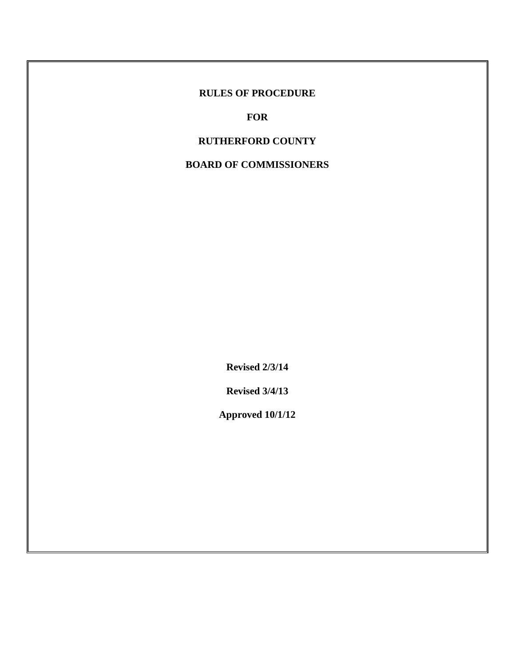# **RULES OF PROCEDURE**

**FOR**

# **RUTHERFORD COUNTY**

# **BOARD OF COMMISSIONERS**

**Revised 2/3/14**

**Revised 3/4/13**

**Approved 10/1/12**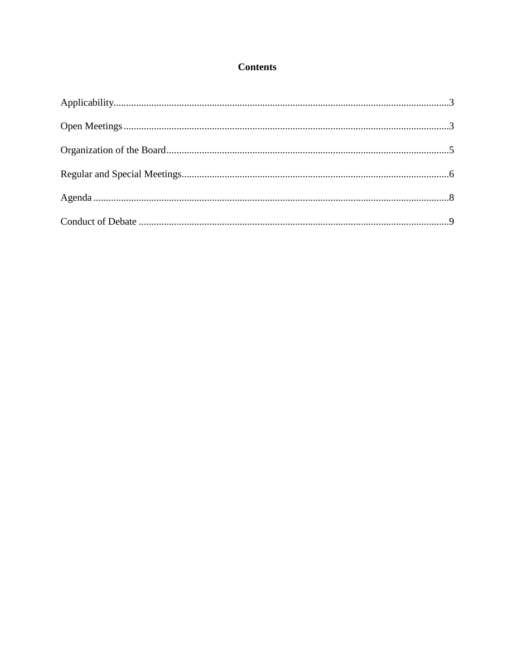# **Contents**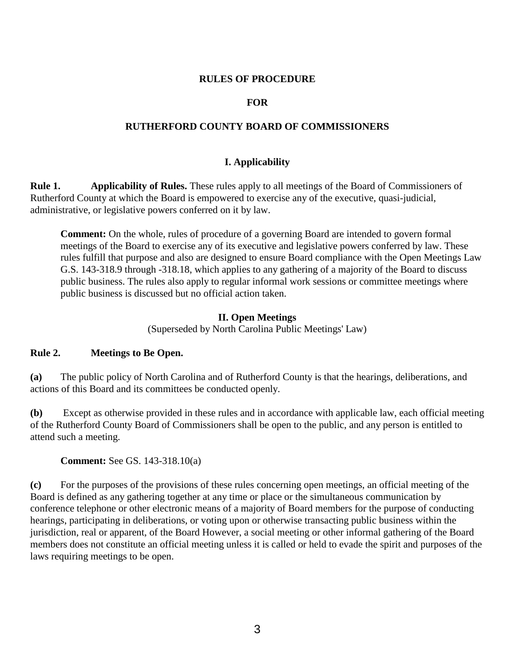#### **RULES OF PROCEDURE**

#### **FOR**

#### **RUTHERFORD COUNTY BOARD OF COMMISSIONERS**

### **I. Applicability**

**Rule 1. Applicability of Rules.** These rules apply to all meetings of the Board of Commissioners of Rutherford County at which the Board is empowered to exercise any of the executive, quasi-judicial, administrative, or legislative powers conferred on it by law.

**Comment:** On the whole, rules of procedure of a governing Board are intended to govern formal meetings of the Board to exercise any of its executive and legislative powers conferred by law. These rules fulfill that purpose and also are designed to ensure Board compliance with the Open Meetings Law G.S. 143-318.9 through -318.18, which applies to any gathering of a majority of the Board to discuss public business. The rules also apply to regular informal work sessions or committee meetings where public business is discussed but no official action taken.

#### **II. Open Meetings**

(Superseded by North Carolina Public Meetings' Law)

#### **Rule 2. Meetings to Be Open.**

**(a)** The public policy of North Carolina and of Rutherford County is that the hearings, deliberations, and actions of this Board and its committees be conducted openly.

**(b)** Except as otherwise provided in these rules and in accordance with applicable law, each official meeting of the Rutherford County Board of Commissioners shall be open to the public, and any person is entitled to attend such a meeting.

**Comment:** See GS. 143-318.10(a)

**(c)** For the purposes of the provisions of these rules concerning open meetings, an official meeting of the Board is defined as any gathering together at any time or place or the simultaneous communication by conference telephone or other electronic means of a majority of Board members for the purpose of conducting hearings, participating in deliberations, or voting upon or otherwise transacting public business within the jurisdiction, real or apparent, of the Board However, a social meeting or other informal gathering of the Board members does not constitute an official meeting unless it is called or held to evade the spirit and purposes of the laws requiring meetings to be open.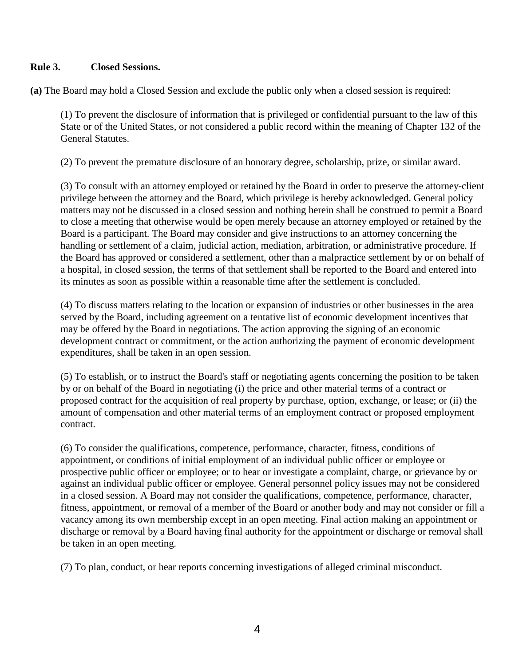# **Rule 3. Closed Sessions.**

**(a)** The Board may hold a Closed Session and exclude the public only when a closed session is required:

(1) To prevent the disclosure of information that is privileged or confidential pursuant to the law of this State or of the United States, or not considered a public record within the meaning of Chapter 132 of the General Statutes.

(2) To prevent the premature disclosure of an honorary degree, scholarship, prize, or similar award.

(3) To consult with an attorney employed or retained by the Board in order to preserve the attorney-client privilege between the attorney and the Board, which privilege is hereby acknowledged. General policy matters may not be discussed in a closed session and nothing herein shall be construed to permit a Board to close a meeting that otherwise would be open merely because an attorney employed or retained by the Board is a participant. The Board may consider and give instructions to an attorney concerning the handling or settlement of a claim, judicial action, mediation, arbitration, or administrative procedure. If the Board has approved or considered a settlement, other than a malpractice settlement by or on behalf of a hospital, in closed session, the terms of that settlement shall be reported to the Board and entered into its minutes as soon as possible within a reasonable time after the settlement is concluded.

(4) To discuss matters relating to the location or expansion of industries or other businesses in the area served by the Board, including agreement on a tentative list of economic development incentives that may be offered by the Board in negotiations. The action approving the signing of an economic development contract or commitment, or the action authorizing the payment of economic development expenditures, shall be taken in an open session.

(5) To establish, or to instruct the Board's staff or negotiating agents concerning the position to be taken by or on behalf of the Board in negotiating (i) the price and other material terms of a contract or proposed contract for the acquisition of real property by purchase, option, exchange, or lease; or (ii) the amount of compensation and other material terms of an employment contract or proposed employment contract.

(6) To consider the qualifications, competence, performance, character, fitness, conditions of appointment, or conditions of initial employment of an individual public officer or employee or prospective public officer or employee; or to hear or investigate a complaint, charge, or grievance by or against an individual public officer or employee. General personnel policy issues may not be considered in a closed session. A Board may not consider the qualifications, competence, performance, character, fitness, appointment, or removal of a member of the Board or another body and may not consider or fill a vacancy among its own membership except in an open meeting. Final action making an appointment or discharge or removal by a Board having final authority for the appointment or discharge or removal shall be taken in an open meeting.

(7) To plan, conduct, or hear reports concerning investigations of alleged criminal misconduct.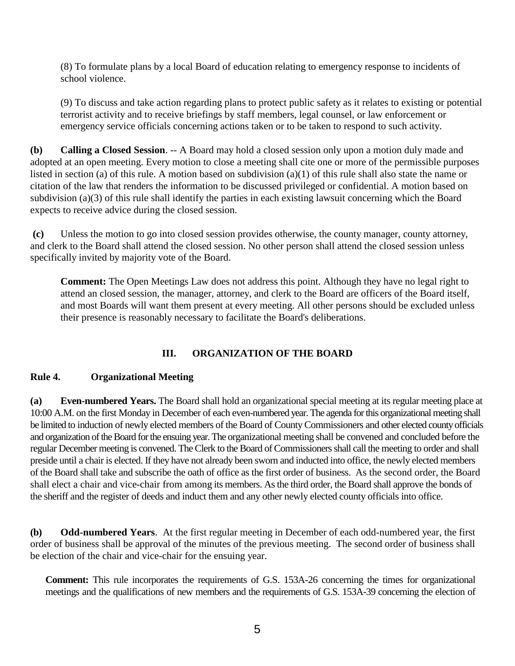(8) To formulate plans by a local Board of education relating to emergency response to incidents of school violence.

(9) To discuss and take action regarding plans to protect public safety as it relates to existing or potential terrorist activity and to receive briefings by staff members, legal counsel, or law enforcement or emergency service officials concerning actions taken or to be taken to respond to such activity.

**(b) Calling a Closed Session**. -- A Board may hold a closed session only upon a motion duly made and adopted at an open meeting. Every motion to close a meeting shall cite one or more of the permissible purposes listed in section (a) of this rule. A motion based on subdivision (a)(1) of this rule shall also state the name or citation of the law that renders the information to be discussed privileged or confidential. A motion based on subdivision (a)(3) of this rule shall identify the parties in each existing lawsuit concerning which the Board expects to receive advice during the closed session.

**(c)** Unless the motion to go into closed session provides otherwise, the county manager, county attorney, and clerk to the Board shall attend the closed session. No other person shall attend the closed session unless specifically invited by majority vote of the Board.

**Comment:** The Open Meetings Law does not address this point. Although they have no legal right to attend an closed session, the manager, attorney, and clerk to the Board are officers of the Board itself, and most Boards will want them present at every meeting. All other persons should be excluded unless their presence is reasonably necessary to facilitate the Board's deliberations.

### **III. ORGANIZATION OF THE BOARD**

### **Rule 4. Organizational Meeting**

**(a) Even-numbered Years.** The Board shall hold an organizational special meeting at its regular meeting place at 10:00 A.M. on the first Monday in December of each even-numbered year. The agenda for this organizational meeting shall be limited to induction of newly elected members of the Board of County Commissioners and other elected county officials and organization of the Board for the ensuing year. The organizational meeting shall be convened and concluded before the regular December meeting is convened. The Clerk to the Board of Commissioners shall call the meeting to order and shall preside until a chair is elected. If they have not already been sworn and inducted into office, the newly elected members of the Board shall take and subscribe the oath of office as the first order of business. As the second order, the Board shall elect a chair and vice-chair from among its members. As the third order, the Board shall approve the bonds of the sheriff and the register of deeds and induct them and any other newly elected county officials into office.

**(b) Odd-numbered Years**. At the first regular meeting in December of each odd-numbered year, the first order of business shall be approval of the minutes of the previous meeting. The second order of business shall be election of the chair and vice-chair for the ensuing year.

**Comment:** This rule incorporates the requirements of G.S. 153A-26 concerning the times for organizational meetings and the qualifications of new members and the requirements of G.S. 153A-39 concerning the election of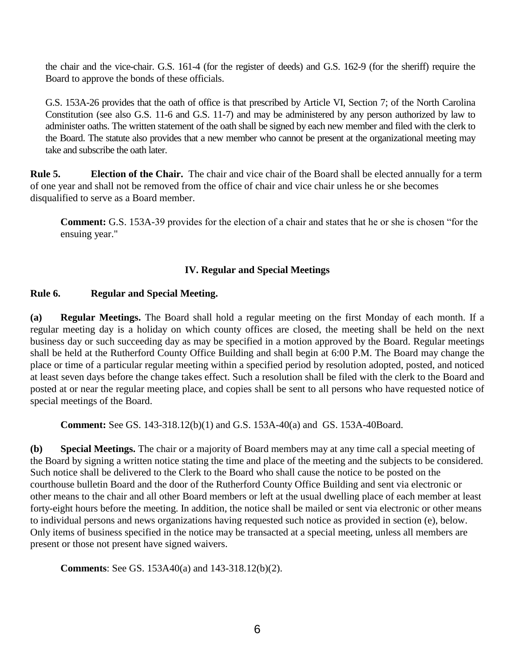the chair and the vice-chair. G.S. 161-4 (for the register of deeds) and G.S. 162-9 (for the sheriff) require the Board to approve the bonds of these officials.

G.S. 153A-26 provides that the oath of office is that prescribed by Article VI, Section 7; of the North Carolina Constitution (see also G.S. 11-6 and G.S. 11-7) and may be administered by any person authorized by law to administer oaths. The written statement of the oath shall be signed by each new member and filed with the clerk to the Board. The statute also provides that a new member who cannot be present at the organizational meeting may take and subscribe the oath later.

**Rule 5. Election of the Chair.** The chair and vice chair of the Board shall be elected annually for a term of one year and shall not be removed from the office of chair and vice chair unless he or she becomes disqualified to serve as a Board member.

**Comment:** G.S. 153A-39 provides for the election of a chair and states that he or she is chosen "for the ensuing year."

### **IV. Regular and Special Meetings**

#### **Rule 6. Regular and Special Meeting.**

**(a) Regular Meetings.** The Board shall hold a regular meeting on the first Monday of each month. If a regular meeting day is a holiday on which county offices are closed, the meeting shall be held on the next business day or such succeeding day as may be specified in a motion approved by the Board. Regular meetings shall be held at the Rutherford County Office Building and shall begin at 6:00 P.M. The Board may change the place or time of a particular regular meeting within a specified period by resolution adopted, posted, and noticed at least seven days before the change takes effect. Such a resolution shall be filed with the clerk to the Board and posted at or near the regular meeting place, and copies shall be sent to all persons who have requested notice of special meetings of the Board.

**Comment:** See GS. 143-318.12(b)(1) and G.S. 153A-40(a) and GS. 153A-40Board.

**(b) Special Meetings.** The chair or a majority of Board members may at any time call a special meeting of the Board by signing a written notice stating the time and place of the meeting and the subjects to be considered. Such notice shall be delivered to the Clerk to the Board who shall cause the notice to be posted on the courthouse bulletin Board and the door of the Rutherford County Office Building and sent via electronic or other means to the chair and all other Board members or left at the usual dwelling place of each member at least forty-eight hours before the meeting. In addition, the notice shall be mailed or sent via electronic or other means to individual persons and news organizations having requested such notice as provided in section (e), below. Only items of business specified in the notice may be transacted at a special meeting, unless all members are present or those not present have signed waivers.

**Comments**: See GS. 153A40(a) and 143-318.12(b)(2).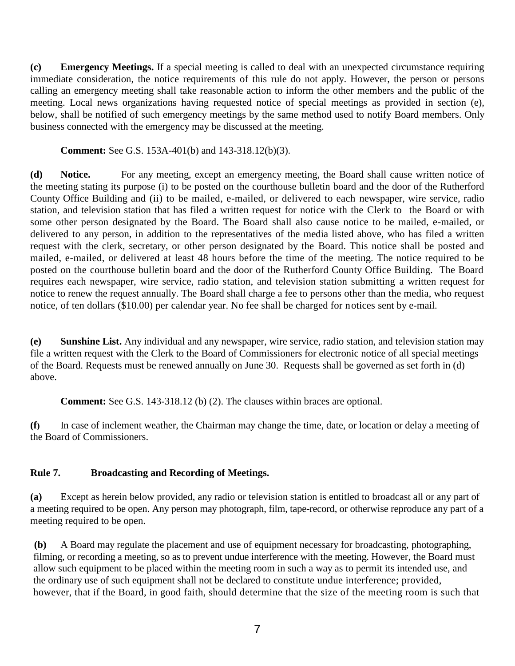**(c) Emergency Meetings.** If a special meeting is called to deal with an unexpected circumstance requiring immediate consideration, the notice requirements of this rule do not apply. However, the person or persons calling an emergency meeting shall take reasonable action to inform the other members and the public of the meeting. Local news organizations having requested notice of special meetings as provided in section (e), below, shall be notified of such emergency meetings by the same method used to notify Board members. Only business connected with the emergency may be discussed at the meeting.

**Comment:** See G.S. 153A-401(b) and 143-318.12(b)(3).

**(d) Notice.** For any meeting, except an emergency meeting, the Board shall cause written notice of the meeting stating its purpose (i) to be posted on the courthouse bulletin board and the door of the Rutherford County Office Building and (ii) to be mailed, e-mailed, or delivered to each newspaper, wire service, radio station, and television station that has filed a written request for notice with the Clerk to the Board or with some other person designated by the Board. The Board shall also cause notice to be mailed, e-mailed, or delivered to any person, in addition to the representatives of the media listed above, who has filed a written request with the clerk, secretary, or other person designated by the Board. This notice shall be posted and mailed, e-mailed, or delivered at least 48 hours before the time of the meeting. The notice required to be posted on the courthouse bulletin board and the door of the Rutherford County Office Building. The Board requires each newspaper, wire service, radio station, and television station submitting a written request for notice to renew the request annually. The Board shall charge a fee to persons other than the media, who request notice, of ten dollars (\$10.00) per calendar year. No fee shall be charged for notices sent by e-mail.

**(e) Sunshine List.** Any individual and any newspaper, wire service, radio station, and television station may file a written request with the Clerk to the Board of Commissioners for electronic notice of all special meetings of the Board. Requests must be renewed annually on June 30. Requests shall be governed as set forth in (d) above.

**Comment:** See G.S. 143-318.12 (b) (2). The clauses within braces are optional.

**(f)** In case of inclement weather, the Chairman may change the time, date, or location or delay a meeting of the Board of Commissioners.

### **Rule 7. Broadcasting and Recording of Meetings.**

**(a)** Except as herein below provided, any radio or television station is entitled to broadcast all or any part of a meeting required to be open. Any person may photograph, film, tape-record, or otherwise reproduce any part of a meeting required to be open.

**(b)** A Board may regulate the placement and use of equipment necessary for broadcasting, photographing, filming, or recording a meeting, so as to prevent undue interference with the meeting. However, the Board must allow such equipment to be placed within the meeting room in such a way as to permit its intended use, and the ordinary use of such equipment shall not be declared to constitute undue interference; provided, however, that if the Board, in good faith, should determine that the size of the meeting room is such that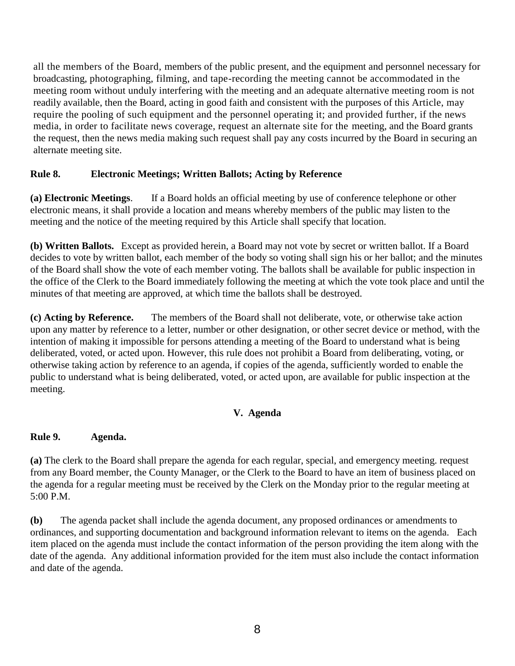all the members of the Board, members of the public present, and the equipment and personnel necessary for broadcasting, photographing, filming, and tape-recording the meeting cannot be accommodated in the meeting room without unduly interfering with the meeting and an adequate alternative meeting room is not readily available, then the Board, acting in good faith and consistent with the purposes of this Article, may require the pooling of such equipment and the personnel operating it; and provided further, if the news media, in order to facilitate news coverage, request an alternate site for the meeting, and the Board grants the request, then the news media making such request shall pay any costs incurred by the Board in securing an alternate meeting site.

# **Rule 8. Electronic Meetings; Written Ballots; Acting by Reference**

**(a) Electronic Meetings**. If a Board holds an official meeting by use of conference telephone or other electronic means, it shall provide a location and means whereby members of the public may listen to the meeting and the notice of the meeting required by this Article shall specify that location.

**(b) Written Ballots.** Except as provided herein, a Board may not vote by secret or written ballot. If a Board decides to vote by written ballot, each member of the body so voting shall sign his or her ballot; and the minutes of the Board shall show the vote of each member voting. The ballots shall be available for public inspection in the office of the Clerk to the Board immediately following the meeting at which the vote took place and until the minutes of that meeting are approved, at which time the ballots shall be destroyed.

**(c) Acting by Reference.** The members of the Board shall not deliberate, vote, or otherwise take action upon any matter by reference to a letter, number or other designation, or other secret device or method, with the intention of making it impossible for persons attending a meeting of the Board to understand what is being deliberated, voted, or acted upon. However, this rule does not prohibit a Board from deliberating, voting, or otherwise taking action by reference to an agenda, if copies of the agenda, sufficiently worded to enable the public to understand what is being deliberated, voted, or acted upon, are available for public inspection at the meeting.

### **V. Agenda**

### **Rule 9. Agenda.**

**(a)** The clerk to the Board shall prepare the agenda for each regular, special, and emergency meeting. request from any Board member, the County Manager, or the Clerk to the Board to have an item of business placed on the agenda for a regular meeting must be received by the Clerk on the Monday prior to the regular meeting at 5:00 P.M.

**(b)** The agenda packet shall include the agenda document, any proposed ordinances or amendments to ordinances, and supporting documentation and background information relevant to items on the agenda. Each item placed on the agenda must include the contact information of the person providing the item along with the date of the agenda. Any additional information provided for the item must also include the contact information and date of the agenda.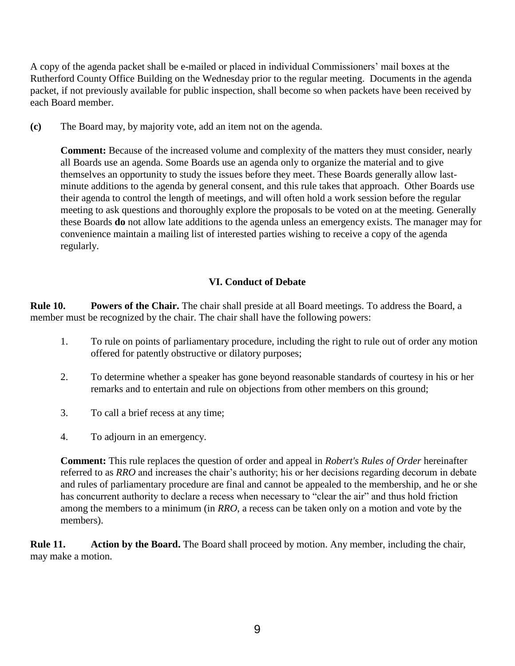A copy of the agenda packet shall be e-mailed or placed in individual Commissioners' mail boxes at the Rutherford County Office Building on the Wednesday prior to the regular meeting. Documents in the agenda packet, if not previously available for public inspection, shall become so when packets have been received by each Board member.

**(c)** The Board may, by majority vote, add an item not on the agenda.

**Comment:** Because of the increased volume and complexity of the matters they must consider, nearly all Boards use an agenda. Some Boards use an agenda only to organize the material and to give themselves an opportunity to study the issues before they meet. These Boards generally allow lastminute additions to the agenda by general consent, and this rule takes that approach. Other Boards use their agenda to control the length of meetings, and will often hold a work session before the regular meeting to ask questions and thoroughly explore the proposals to be voted on at the meeting. Generally these Boards **do** not allow late additions to the agenda unless an emergency exists. The manager may for convenience maintain a mailing list of interested parties wishing to receive a copy of the agenda regularly.

# **VI. Conduct of Debate**

**Rule 10. Powers of the Chair.** The chair shall preside at all Board meetings. To address the Board, a member must be recognized by the chair. The chair shall have the following powers:

- 1. To rule on points of parliamentary procedure, including the right to rule out of order any motion offered for patently obstructive or dilatory purposes;
- 2. To determine whether a speaker has gone beyond reasonable standards of courtesy in his or her remarks and to entertain and rule on objections from other members on this ground;
- 3. To call a brief recess at any time;
- 4. To adjourn in an emergency.

**Comment:** This rule replaces the question of order and appeal in *Robert's Rules of Order* hereinafter referred to as *RRO* and increases the chair's authority; his or her decisions regarding decorum in debate and rules of parliamentary procedure are final and cannot be appealed to the membership, and he or she has concurrent authority to declare a recess when necessary to "clear the air" and thus hold friction among the members to a minimum (in *RRO*, a recess can be taken only on a motion and vote by the members).

**Rule 11. Action by the Board.** The Board shall proceed by motion. Any member, including the chair, may make a motion.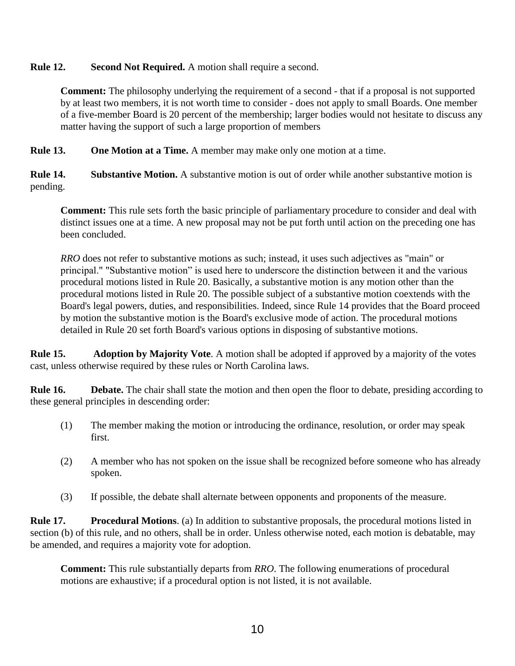# **Rule 12. Second Not Required.** A motion shall require a second.

**Comment:** The philosophy underlying the requirement of a second - that if a proposal is not supported by at least two members, it is not worth time to consider - does not apply to small Boards. One member of a five-member Board is 20 percent of the membership; larger bodies would not hesitate to discuss any matter having the support of such a large proportion of members

**Rule 13. One Motion at a Time.** A member may make only one motion at a time.

**Rule 14. Substantive Motion.** A substantive motion is out of order while another substantive motion is pending.

**Comment:** This rule sets forth the basic principle of parliamentary procedure to consider and deal with distinct issues one at a time. A new proposal may not be put forth until action on the preceding one has been concluded.

*RRO* does not refer to substantive motions as such; instead, it uses such adjectives as "main" or principal." "Substantive motion" is used here to underscore the distinction between it and the various procedural motions listed in Rule 20. Basically, a substantive motion is any motion other than the procedural motions listed in Rule 20. The possible subject of a substantive motion coextends with the Board's legal powers, duties, and responsibilities. Indeed, since Rule 14 provides that the Board proceed by motion the substantive motion is the Board's exclusive mode of action. The procedural motions detailed in Rule 20 set forth Board's various options in disposing of substantive motions.

**Rule 15. Adoption by Majority Vote**. A motion shall be adopted if approved by a majority of the votes cast, unless otherwise required by these rules or North Carolina laws.

**Rule 16. Debate.** The chair shall state the motion and then open the floor to debate, presiding according to these general principles in descending order:

- (1) The member making the motion or introducing the ordinance, resolution, or order may speak first.
- (2) A member who has not spoken on the issue shall be recognized before someone who has already spoken.
- (3) If possible, the debate shall alternate between opponents and proponents of the measure.

**Rule 17. Procedural Motions**. (a) In addition to substantive proposals, the procedural motions listed in section (b) of this rule, and no others, shall be in order. Unless otherwise noted, each motion is debatable, may be amended, and requires a majority vote for adoption.

**Comment:** This rule substantially departs from *RRO*. The following enumerations of procedural motions are exhaustive; if a procedural option is not listed, it is not available.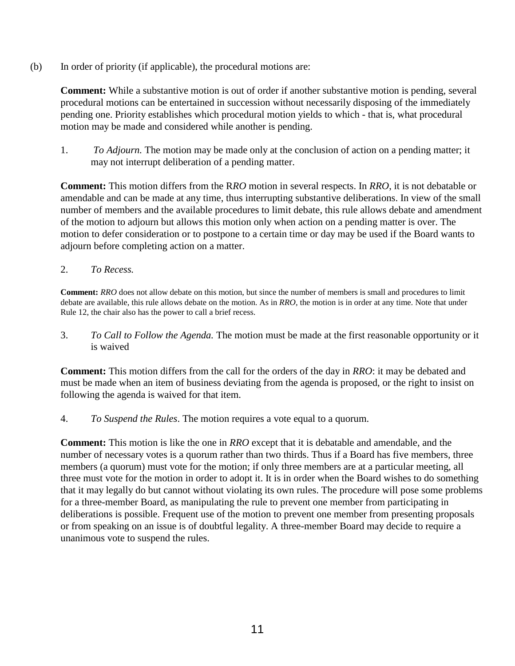(b) In order of priority (if applicable), the procedural motions are:

**Comment:** While a substantive motion is out of order if another substantive motion is pending, several procedural motions can be entertained in succession without necessarily disposing of the immediately pending one. Priority establishes which procedural motion yields to which - that is, what procedural motion may be made and considered while another is pending.

1. *To Adjourn.* The motion may be made only at the conclusion of action on a pending matter; it may not interrupt deliberation of a pending matter.

**Comment:** This motion differs from the R*RO* motion in several respects. In *RRO*, it is not debatable or amendable and can be made at any time, thus interrupting substantive deliberations. In view of the small number of members and the available procedures to limit debate, this rule allows debate and amendment of the motion to adjourn but allows this motion only when action on a pending matter is over. The motion to defer consideration or to postpone to a certain time or day may be used if the Board wants to adjourn before completing action on a matter.

2. *To Recess.*

**Comment:** *RRO* does not allow debate on this motion, but since the number of members is small and procedures to limit debate are available, this rule allows debate on the motion. As in *RRO*, the motion is in order at any time. Note that under Rule 12, the chair also has the power to call a brief recess.

3. *To Call to Follow the Agenda.* The motion must be made at the first reasonable opportunity or it is waived

**Comment:** This motion differs from the call for the orders of the day in *RRO*: it may be debated and must be made when an item of business deviating from the agenda is proposed, or the right to insist on following the agenda is waived for that item.

4. *To Suspend the Rules*. The motion requires a vote equal to a quorum.

**Comment:** This motion is like the one in *RRO* except that it is debatable and amendable, and the number of necessary votes is a quorum rather than two thirds. Thus if a Board has five members, three members (a quorum) must vote for the motion; if only three members are at a particular meeting, all three must vote for the motion in order to adopt it. It is in order when the Board wishes to do something that it may legally do but cannot without violating its own rules. The procedure will pose some problems for a three-member Board, as manipulating the rule to prevent one member from participating in deliberations is possible. Frequent use of the motion to prevent one member from presenting proposals or from speaking on an issue is of doubtful legality. A three-member Board may decide to require a unanimous vote to suspend the rules.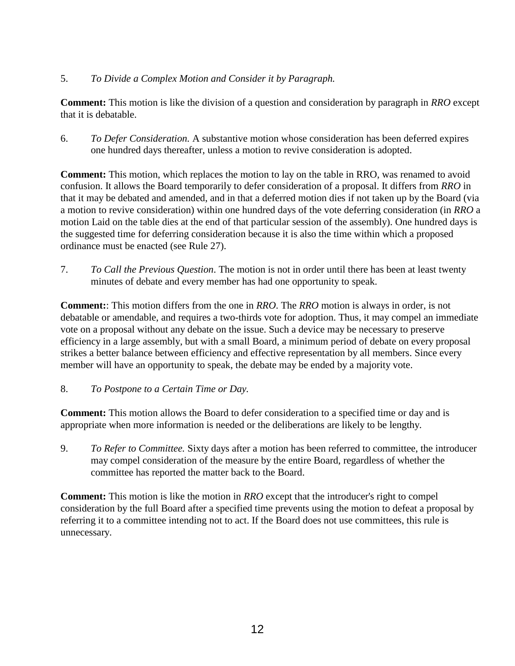# 5. *To Divide a Complex Motion and Consider it by Paragraph.*

**Comment:** This motion is like the division of a question and consideration by paragraph in *RRO* except that it is debatable.

6. *To Defer Consideration.* A substantive motion whose consideration has been deferred expires one hundred days thereafter, unless a motion to revive consideration is adopted.

**Comment:** This motion, which replaces the motion to lay on the table in RRO, was renamed to avoid confusion. It allows the Board temporarily to defer consideration of a proposal. It differs from *RRO* in that it may be debated and amended, and in that a deferred motion dies if not taken up by the Board (via a motion to revive consideration) within one hundred days of the vote deferring consideration (in *RRO* a motion Laid on the table dies at the end of that particular session of the assembly). One hundred days is the suggested time for deferring consideration because it is also the time within which a proposed ordinance must be enacted (see Rule 27).

7. *To Call the Previous Question*. The motion is not in order until there has been at least twenty minutes of debate and every member has had one opportunity to speak.

**Comment:**: This motion differs from the one in *RRO*. The *RRO* motion is always in order, is not debatable or amendable, and requires a two-thirds vote for adoption. Thus, it may compel an immediate vote on a proposal without any debate on the issue. Such a device may be necessary to preserve efficiency in a large assembly, but with a small Board, a minimum period of debate on every proposal strikes a better balance between efficiency and effective representation by all members. Since every member will have an opportunity to speak, the debate may be ended by a majority vote.

8. *To Postpone to a Certain Time or Day.*

**Comment:** This motion allows the Board to defer consideration to a specified time or day and is appropriate when more information is needed or the deliberations are likely to be lengthy.

9. *To Refer to Committee.* Sixty days after a motion has been referred to committee, the introducer may compel consideration of the measure by the entire Board, regardless of whether the committee has reported the matter back to the Board.

**Comment:** This motion is like the motion in *RRO* except that the introducer's right to compel consideration by the full Board after a specified time prevents using the motion to defeat a proposal by referring it to a committee intending not to act. If the Board does not use committees, this rule is unnecessary.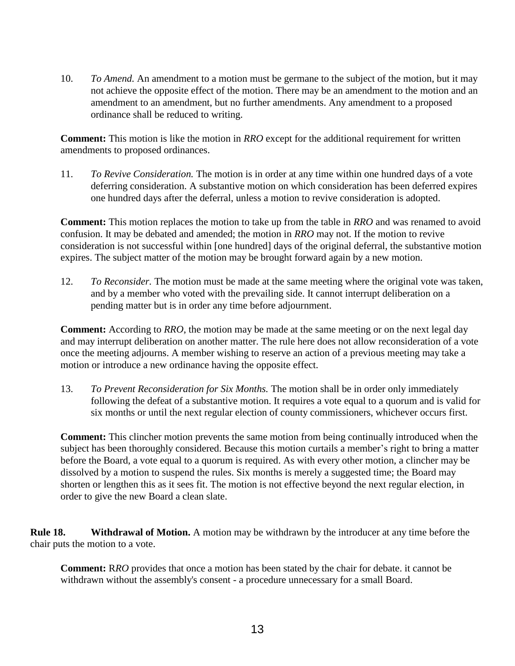10. *To Amend.* An amendment to a motion must be germane to the subject of the motion, but it may not achieve the opposite effect of the motion. There may be an amendment to the motion and an amendment to an amendment, but no further amendments. Any amendment to a proposed ordinance shall be reduced to writing.

**Comment:** This motion is like the motion in *RRO* except for the additional requirement for written amendments to proposed ordinances.

11. *To Revive Consideration.* The motion is in order at any time within one hundred days of a vote deferring consideration. A substantive motion on which consideration has been deferred expires one hundred days after the deferral, unless a motion to revive consideration is adopted.

**Comment:** This motion replaces the motion to take up from the table in *RRO* and was renamed to avoid confusion. It may be debated and amended; the motion in *RRO* may not. If the motion to revive consideration is not successful within [one hundred] days of the original deferral, the substantive motion expires. The subject matter of the motion may be brought forward again by a new motion.

12. *To Reconsider.* The motion must be made at the same meeting where the original vote was taken, and by a member who voted with the prevailing side. It cannot interrupt deliberation on a pending matter but is in order any time before adjournment.

**Comment:** According to *RRO*, the motion may be made at the same meeting or on the next legal day and may interrupt deliberation on another matter. The rule here does not allow reconsideration of a vote once the meeting adjourns. A member wishing to reserve an action of a previous meeting may take a motion or introduce a new ordinance having the opposite effect.

13. *To Prevent Reconsideration for Six Months.* The motion shall be in order only immediately following the defeat of a substantive motion. It requires a vote equal to a quorum and is valid for six months or until the next regular election of county commissioners, whichever occurs first.

**Comment:** This clincher motion prevents the same motion from being continually introduced when the subject has been thoroughly considered. Because this motion curtails a member's right to bring a matter before the Board, a vote equal to a quorum is required. As with every other motion, a clincher may be dissolved by a motion to suspend the rules. Six months is merely a suggested time; the Board may shorten or lengthen this as it sees fit. The motion is not effective beyond the next regular election, in order to give the new Board a clean slate.

**Rule 18. Withdrawal of Motion.** A motion may be withdrawn by the introducer at any time before the chair puts the motion to a vote.

**Comment:** R*RO* provides that once a motion has been stated by the chair for debate. it cannot be withdrawn without the assembly's consent - a procedure unnecessary for a small Board.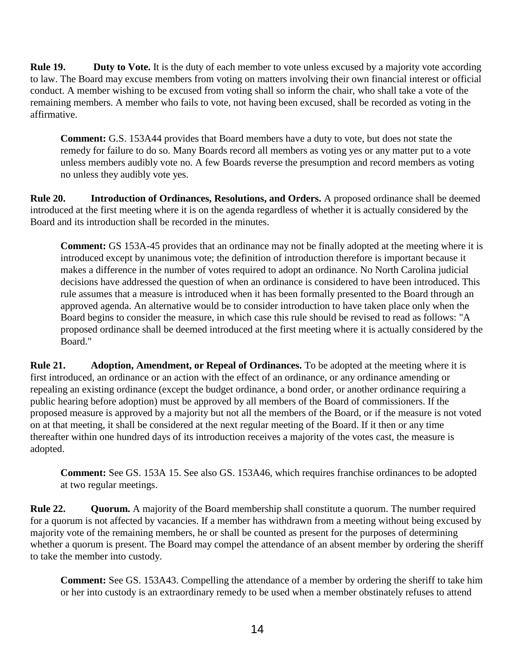**Rule 19. Duty to Vote.** It is the duty of each member to vote unless excused by a majority vote according to law. The Board may excuse members from voting on matters involving their own financial interest or official conduct. A member wishing to be excused from voting shall so inform the chair, who shall take a vote of the remaining members. A member who fails to vote, not having been excused, shall be recorded as voting in the affirmative.

**Comment:** G.S. 153A44 provides that Board members have a duty to vote, but does not state the remedy for failure to do so. Many Boards record all members as voting yes or any matter put to a vote unless members audibly vote no. A few Boards reverse the presumption and record members as voting no unless they audibly vote yes.

**Rule 20. Introduction of Ordinances, Resolutions, and Orders.** A proposed ordinance shall be deemed introduced at the first meeting where it is on the agenda regardless of whether it is actually considered by the Board and its introduction shall be recorded in the minutes.

**Comment:** GS 153A-45 provides that an ordinance may not be finally adopted at the meeting where it is introduced except by unanimous vote; the definition of introduction therefore is important because it makes a difference in the number of votes required to adopt an ordinance. No North Carolina judicial decisions have addressed the question of when an ordinance is considered to have been introduced. This rule assumes that a measure is introduced when it has been formally presented to the Board through an approved agenda. An alternative would be to consider introduction to have taken place only when the Board begins to consider the measure, in which case this rule should be revised to read as follows: "A proposed ordinance shall be deemed introduced at the first meeting where it is actually considered by the Board."

**Rule 21. Adoption, Amendment, or Repeal of Ordinances.** To be adopted at the meeting where it is first introduced, an ordinance or an action with the effect of an ordinance, or any ordinance amending or repealing an existing ordinance (except the budget ordinance, a bond order, or another ordinance requiring a public hearing before adoption) must be approved by all members of the Board of commissioners. If the proposed measure is approved by a majority but not all the members of the Board, or if the measure is not voted on at that meeting, it shall be considered at the next regular meeting of the Board. If it then or any time thereafter within one hundred days of its introduction receives a majority of the votes cast, the measure is adopted.

**Comment:** See GS. 153A 15. See also GS. 153A46, which requires franchise ordinances to be adopted at two regular meetings.

**Rule 22. Quorum.** A majority of the Board membership shall constitute a quorum. The number required for a quorum is not affected by vacancies. If a member has withdrawn from a meeting without being excused by majority vote of the remaining members, he or shall be counted as present for the purposes of determining whether a quorum is present. The Board may compel the attendance of an absent member by ordering the sheriff to take the member into custody.

**Comment:** See GS. 153A43. Compelling the attendance of a member by ordering the sheriff to take him or her into custody is an extraordinary remedy to be used when a member obstinately refuses to attend